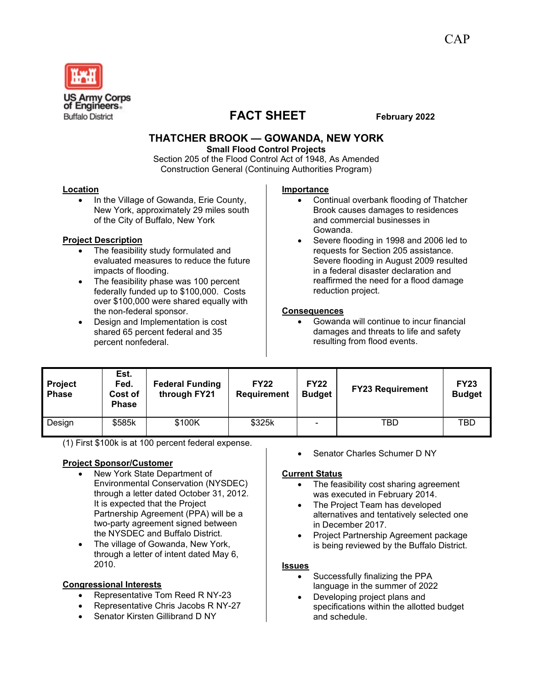

# **FACT SHEET** February 2022

# **THATCHER BROOK — GOWANDA, NEW YORK**

**Small Flood Control Projects**

Section 205 of the Flood Control Act of 1948, As Amended Construction General (Continuing Authorities Program)

#### **Location**

• In the Village of Gowanda, Erie County, New York, approximately 29 miles south of the City of Buffalo, New York

# **Project Description**

- The feasibility study formulated and evaluated measures to reduce the future impacts of flooding.
- The feasibility phase was 100 percent federally funded up to \$100,000. Costs over \$100,000 were shared equally with the non-federal sponsor.
- Design and Implementation is cost shared 65 percent federal and 35 percent nonfederal.

#### **Importance**

- Continual overbank flooding of Thatcher Brook causes damages to residences and commercial businesses in Gowanda.
- Severe flooding in 1998 and 2006 led to requests for Section 205 assistance. Severe flooding in August 2009 resulted in a federal disaster declaration and reaffirmed the need for a flood damage reduction project.

#### **Consequences**

• Gowanda will continue to incur financial damages and threats to life and safety resulting from flood events.

| <b>Project</b><br><b>Phase</b> | Est.<br>Fed.<br>Cost of<br><b>Phase</b> | <b>Federal Funding</b><br>through FY21 | <b>FY22</b><br><b>Requirement</b> | <b>FY22</b><br><b>Budget</b> | <b>FY23 Requirement</b> | <b>FY23</b><br><b>Budget</b> |
|--------------------------------|-----------------------------------------|----------------------------------------|-----------------------------------|------------------------------|-------------------------|------------------------------|
| Design                         | \$585k                                  | \$100K                                 | \$325k                            |                              | TBD                     | TBD                          |

(1) First \$100k is at 100 percent federal expense.

# **Project Sponsor/Customer**

- New York State Department of Environmental Conservation (NYSDEC) through a letter dated October 31, 2012. It is expected that the Project Partnership Agreement (PPA) will be a two-party agreement signed between the NYSDEC and Buffalo District.
- The village of Gowanda, New York, through a letter of intent dated May 6, 2010.

# **Congressional Interests**

- Representative Tom Reed R NY-23
- Representative Chris Jacobs R NY-27
- Senator Kirsten Gillibrand D NY

Senator Charles Schumer D NY

#### **Current Status**

- The feasibility cost sharing agreement was executed in February 2014.
- The Project Team has developed alternatives and tentatively selected one in December 2017.
- Project Partnership Agreement package is being reviewed by the Buffalo District.

#### **Issues**

- Successfully finalizing the PPA language in the summer of 2022
- Developing project plans and specifications within the allotted budget and schedule.